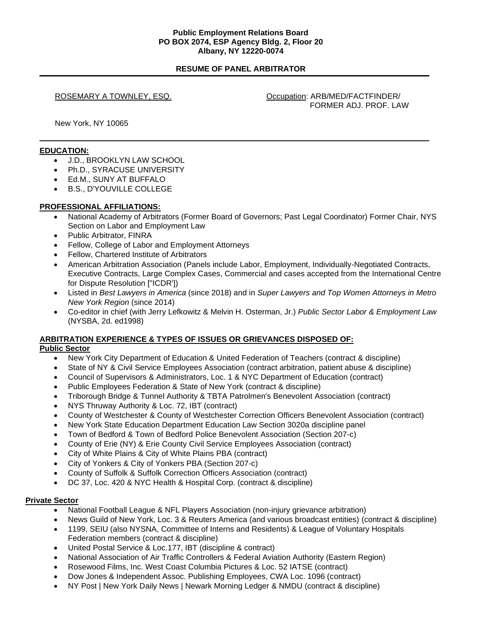## **Public Employment Relations Board PO BOX 2074, ESP Agency Bldg. 2, Floor 20 Albany, NY 12220-0074**

# **RESUME OF PANEL ARBITRATOR**

ROSEMARY A TOWNLEY, ESQ. CONSERVING COMPARISON: ARB/MED/FACTFINDER/ FORMER ADJ. PROF. LAW

New York, NY 10065

## **EDUCATION:**

- J.D., BROOKLYN LAW SCHOOL
- Ph.D., SYRACUSE UNIVERSITY
- Ed.M., SUNY AT BUFFALO
- B.S., D'YOUVILLE COLLEGE

## **PROFESSIONAL AFFILIATIONS:**

- National Academy of Arbitrators (Former Board of Governors; Past Legal Coordinator) Former Chair, NYS Section on Labor and Employment Law
- Public Arbitrator, FINRA
- Fellow, College of Labor and Employment Attorneys
- Fellow, Chartered Institute of Arbitrators
- American Arbitration Association (Panels include Labor, Employment, Individually-Negotiated Contracts, Executive Contracts, Large Complex Cases, Commercial and cases accepted from the International Centre for Dispute Resolution ["ICDR'])
- Listed in *Best Lawyers in America* (since 2018) and in *Super Lawyers and Top Women Attorneys in Metro New York Region* (since 2014)
- Co-editor in chief (with Jerry Lefkowitz & Melvin H. Osterman, Jr.) *Public Sector Labor & Employment Law*  (NYSBA, 2d. ed1998)

# **ARBITRATION EXPERIENCE & TYPES OF ISSUES OR GRIEVANCES DISPOSED OF:**

## **Public Sector**

- New York City Department of Education & United Federation of Teachers (contract & discipline)
- State of NY & Civil Service Employees Association (contract arbitration, patient abuse & discipline)
- Council of Supervisors & Administrators, Loc. 1 & NYC Department of Education (contract)
- Public Employees Federation & State of New York (contract & discipline)
- Triborough Bridge & Tunnel Authority & TBTA Patrolmen's Benevolent Association (contract)
- NYS Thruway Authority & Loc. 72, IBT (contract)
- County of Westchester & County of Westchester Correction Officers Benevolent Association (contract)
- New York State Education Department Education Law Section 3020a discipline panel
- Town of Bedford & Town of Bedford Police Benevolent Association (Section 207-c)
- County of Erie (NY) & Erie County Civil Service Employees Association (contract)
- City of White Plains & City of White Plains PBA (contract)
- City of Yonkers & City of Yonkers PBA (Section 207-c)
- County of Suffolk & Suffolk Correction Officers Association (contract)
- DC 37, Loc. 420 & NYC Health & Hospital Corp. (contract & discipline)

## **Private Sector**

- National Football League & NFL Players Association (non-injury grievance arbitration)
- News Guild of New York, Loc. 3 & Reuters America (and various broadcast entities) (contract & discipline)
- 1199, SEIU (also NYSNA, Committee of Interns and Residents) & League of Voluntary Hospitals Federation members (contract & discipline)
- United Postal Service & Loc.177, IBT (discipline & contract)
- National Association of Air Traffic Controllers & Federal Aviation Authority (Eastern Region)
- Rosewood Films, Inc. West Coast Columbia Pictures & Loc. 52 IATSE (contract)
- Dow Jones & Independent Assoc. Publishing Employees, CWA Loc. 1096 (contract)
- NY Post | New York Daily News | Newark Morning Ledger & NMDU (contract & discipline)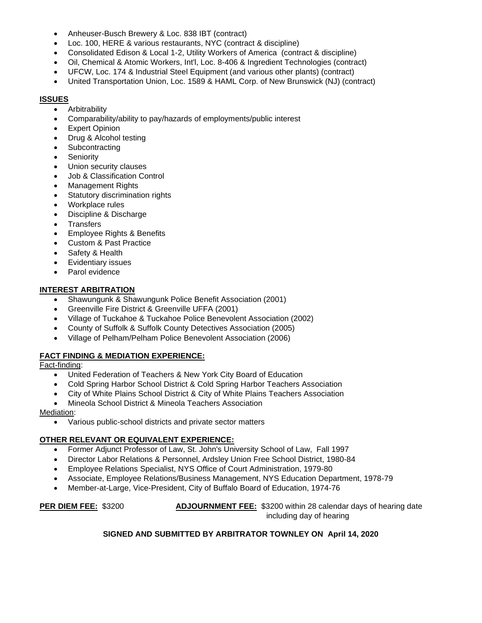- Anheuser-Busch Brewery & Loc. 838 IBT (contract)
- Loc. 100, HERE & various restaurants, NYC (contract & discipline)
- Consolidated Edison & Local 1-2, Utility Workers of America (contract & discipline)
- Oil, Chemical & Atomic Workers, Int'l, Loc. 8-406 & Ingredient Technologies (contract)
- UFCW, Loc. 174 & Industrial Steel Equipment (and various other plants) (contract)
- United Transportation Union, Loc. 1589 & HAML Corp. of New Brunswick (NJ) (contract)

# **ISSUES**

- Arbitrability
- Comparability/ability to pay/hazards of employments/public interest
- **Expert Opinion**
- Drug & Alcohol testing
- **Subcontracting**
- **Seniority**
- Union security clauses
- Job & Classification Control
- Management Rights
- Statutory discrimination rights
- Workplace rules
- Discipline & Discharge
- **Transfers**
- Employee Rights & Benefits
- Custom & Past Practice
- Safety & Health
- Evidentiary issues
- Parol evidence

# **INTEREST ARBITRATION**

- Shawungunk & Shawungunk Police Benefit Association (2001)
- Greenville Fire District & Greenville UFFA (2001)
- Village of Tuckahoe & Tuckahoe Police Benevolent Association (2002)
- County of Suffolk & Suffolk County Detectives Association (2005)
- Village of Pelham/Pelham Police Benevolent Association (2006)

# **FACT FINDING & MEDIATION EXPERIENCE:**

Fact-finding:

- United Federation of Teachers & New York City Board of Education
- Cold Spring Harbor School District & Cold Spring Harbor Teachers Association
- City of White Plains School District & City of White Plains Teachers Association
- Mineola School District & Mineola Teachers Association

Mediation:

• Various public-school districts and private sector matters

# **OTHER RELEVANT OR EQUIVALENT EXPERIENCE:**

- Former Adjunct Professor of Law, St. John's University School of Law, Fall 1997
- Director Labor Relations & Personnel, Ardsley Union Free School District, 1980-84
- Employee Relations Specialist, NYS Office of Court Administration, 1979-80
- Associate, Employee Relations/Business Management, NYS Education Department, 1978-79
- Member-at-Large, Vice-President, City of Buffalo Board of Education, 1974-76

**PER DIEM FEE:** \$3200 **ADJOURNMENT FEE:** \$3200 within 28 calendar days of hearing date including day of hearing

# **SIGNED AND SUBMITTED BY ARBITRATOR TOWNLEY ON April 14, 2020**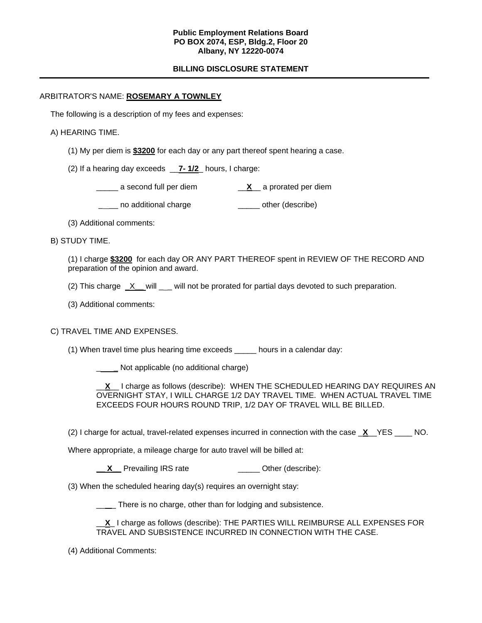## **Public Employment Relations Board PO BOX 2074, ESP, Bldg.2, Floor 20 Albany, NY 12220-0074**

# **BILLING DISCLOSURE STATEMENT**

## ARBITRATOR'S NAME: **ROSEMARY A TOWNLEY**

The following is a description of my fees and expenses:

## A) HEARING TIME.

(1) My per diem is **\$3200** for each day or any part thereof spent hearing a case.

(2) If a hearing day exceeds \_\_**7- 1/2**\_ hours, I charge:

\_\_\_\_\_ a second full per diem \_\_**X**\_\_ a prorated per diem

\_\_\_\_ no additional charge \_\_\_\_\_\_\_ other (describe)

(3) Additional comments:

B) STUDY TIME.

(1) I charge **\$3200** for each day OR ANY PART THEREOF spent in REVIEW OF THE RECORD AND preparation of the opinion and award.

(2) This charge X will will not be prorated for partial days devoted to such preparation.

(3) Additional comments:

# C) TRAVEL TIME AND EXPENSES.

(1) When travel time plus hearing time exceeds \_\_\_\_\_ hours in a calendar day:

\_ **\_** Not applicable (no additional charge)

\_\_**X**\_\_ I charge as follows (describe): WHEN THE SCHEDULED HEARING DAY REQUIRES AN OVERNIGHT STAY, I WILL CHARGE 1/2 DAY TRAVEL TIME. WHEN ACTUAL TRAVEL TIME EXCEEDS FOUR HOURS ROUND TRIP, 1/2 DAY OF TRAVEL WILL BE BILLED.

(2) I charge for actual, travel-related expenses incurred in connection with the case \_**X**\_\_YES \_\_\_\_ NO.

Where appropriate, a mileage charge for auto travel will be billed at:

**X** Prevailing IRS rate **\_\_\_\_** Other (describe):

(3) When the scheduled hearing day(s) requires an overnight stay:

\_\_\_\_ There is no charge, other than for lodging and subsistence.

\_\_**X**\_ I charge as follows (describe): THE PARTIES WILL REIMBURSE ALL EXPENSES FOR TRAVEL AND SUBSISTENCE INCURRED IN CONNECTION WITH THE CASE.

(4) Additional Comments: